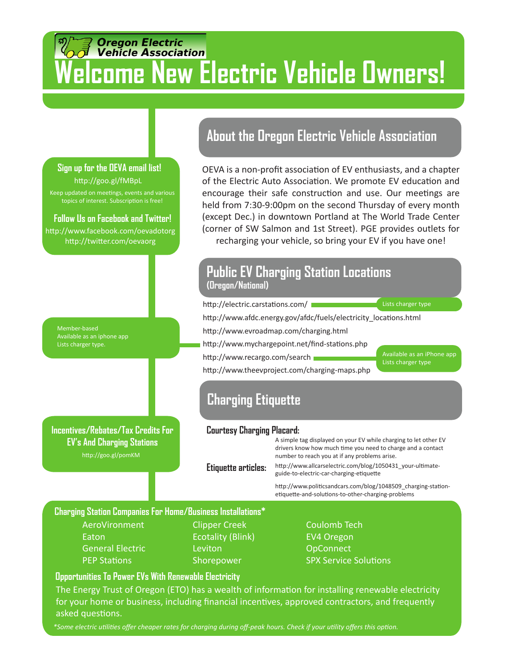# *Oregon Electric<br>Vehicle Association* **Welcome New Electric Vehicle Owners!**

## Keep updated on meetings, events and various topics of interest. Subscription is free! **Sign up for the OEVA email list!**  http://goo.gl/fMBpL **Follow Us on Facebook and Twitter!**  http://www.facebook.com/oevadotorg http://twitter.com/oevaorg

Member-based Available as an iphone app Lists charger type.

http://goo.gl/pomKM **Incentives/Rebates/Tax Credits For EV's And Charging Stations**

### **About the Oregon Electric Vehicle Association**

OEVA is a non-profit association of EV enthusiasts, and a chapter of the Electric Auto Association. We promote EV education and encourage their safe construction and use. Our meetings are held from 7:30-9:00pm on the second Thursday of every month (except Dec.) in downtown Portland at The World Trade Center (corner of SW Salmon and 1st Street). PGE provides outlets for

recharging your vehicle, so bring your EV if you have one!

### **Public EV Charging Station Locations (Oregon/National)**

http://electric.carstations.com/

http://www.afdc.energy.gov/afdc/fuels/electricity\_locations.html

http://www.evroadmap.com/charging.html

http://www.mychargepoint.net/find-stations.php

http://www.recargo.com/search

http://www.theevproject.com/charging-maps.php

Available as an iPhone app Lists charger type

Lists charger type

# **Charging Etiquette**

### **Courtesy Charging Placard:**

A simple tag displayed on your EV while charging to let other EV drivers know how much time you need to charge and a contact number to reach you at if any problems arise.

**Etiquette articles:**  http://www.allcarselectric.com/blog/1050431\_your-ultimateguide-to-electric-car-charging-etiquette

> http://www.politicsandcars.com/blog/1048509\_charging-stationetiquette-and-solutions-to-other-charging-problems

### **Charging Station Companies For Home/Business Installations\***

AeroVironment Eaton General Electric PEP Stations

Clipper Creek Ecotality (Blink) **Leviton** Shorepower

Coulomb Tech EV4 Oregon **OpConnect** SPX Service Solutions

### **Opportunities To Power EVs With Renewable Electricity**

The Energy Trust of Oregon (ETO) has a wealth of information for installing renewable electricity for your home or business, including financial incentives, approved contractors, and frequently asked questions.

*\*Some electric utilities offer cheaper rates for charging during off-peak hours. Check if your utility offers this option.*